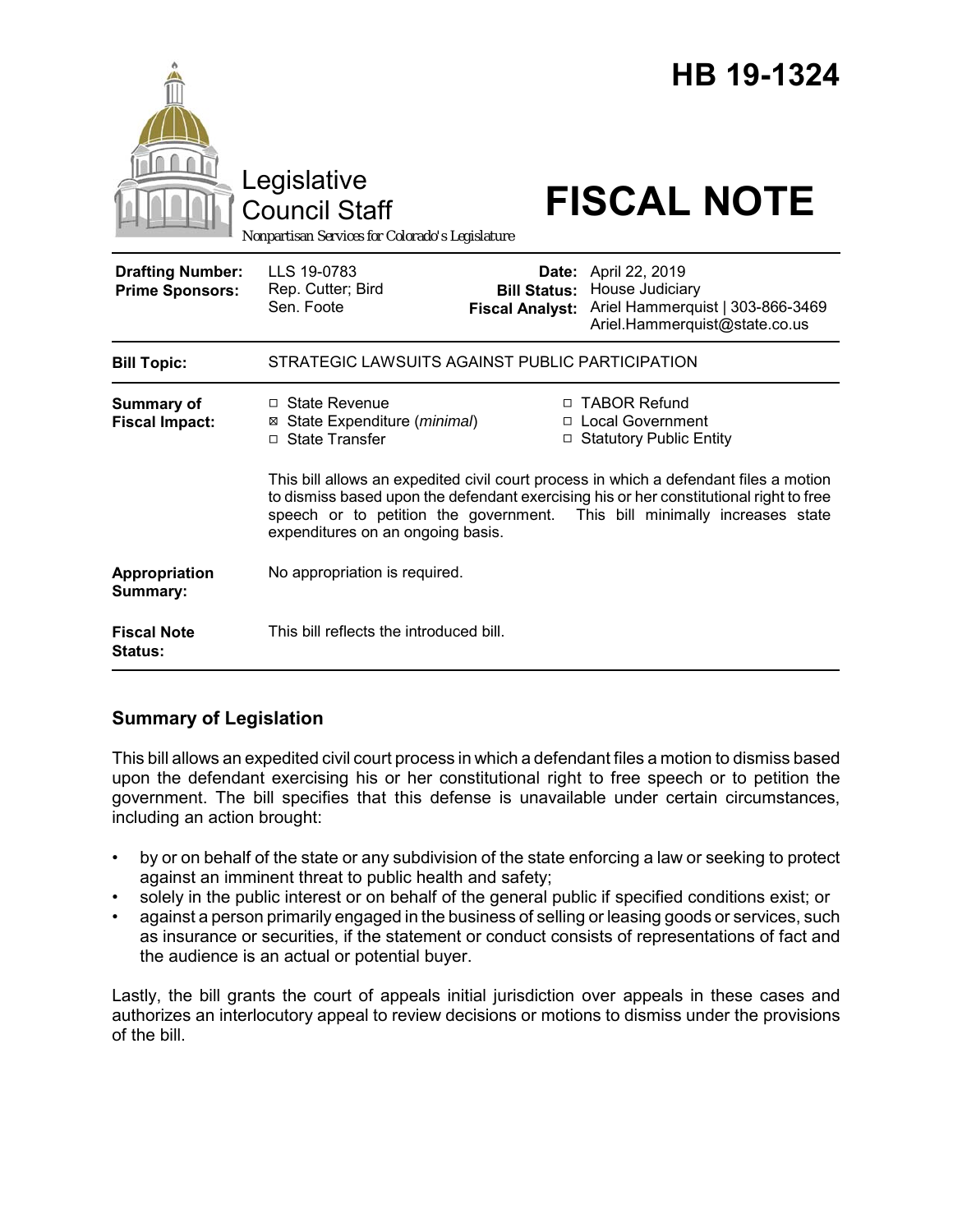|                                                   | Legislative<br><b>Council Staff</b><br>Nonpartisan Services for Colorado's Legislature                                                                                                                                                                                                            |                                                        | HB 19-1324<br><b>FISCAL NOTE</b>                                                                       |  |
|---------------------------------------------------|---------------------------------------------------------------------------------------------------------------------------------------------------------------------------------------------------------------------------------------------------------------------------------------------------|--------------------------------------------------------|--------------------------------------------------------------------------------------------------------|--|
| <b>Drafting Number:</b><br><b>Prime Sponsors:</b> | LLS 19-0783<br>Rep. Cutter; Bird<br>Sen. Foote                                                                                                                                                                                                                                                    | Date:<br><b>Bill Status:</b><br><b>Fiscal Analyst:</b> | April 22, 2019<br>House Judiciary<br>Ariel Hammerquist   303-866-3469<br>Ariel.Hammerquist@state.co.us |  |
| <b>Bill Topic:</b>                                | STRATEGIC LAWSUITS AGAINST PUBLIC PARTICIPATION                                                                                                                                                                                                                                                   |                                                        |                                                                                                        |  |
| Summary of<br><b>Fiscal Impact:</b>               | □ State Revenue<br>⊠ State Expenditure (minimal)<br>□ State Transfer                                                                                                                                                                                                                              |                                                        | □ TABOR Refund<br>□ Local Government<br>□ Statutory Public Entity                                      |  |
|                                                   | This bill allows an expedited civil court process in which a defendant files a motion<br>to dismiss based upon the defendant exercising his or her constitutional right to free<br>speech or to petition the government. This bill minimally increases state<br>expenditures on an ongoing basis. |                                                        |                                                                                                        |  |
| Appropriation<br>Summary:                         | No appropriation is required.                                                                                                                                                                                                                                                                     |                                                        |                                                                                                        |  |
| <b>Fiscal Note</b><br>Status:                     | This bill reflects the introduced bill.                                                                                                                                                                                                                                                           |                                                        |                                                                                                        |  |

## **Summary of Legislation**

This bill allows an expedited civil court process in which a defendant files a motion to dismiss based upon the defendant exercising his or her constitutional right to free speech or to petition the government. The bill specifies that this defense is unavailable under certain circumstances, including an action brought:

- by or on behalf of the state or any subdivision of the state enforcing a law or seeking to protect against an imminent threat to public health and safety;
- solely in the public interest or on behalf of the general public if specified conditions exist; or
- against a person primarily engaged in the business of selling or leasing goods or services, such as insurance or securities, if the statement or conduct consists of representations of fact and the audience is an actual or potential buyer.

Lastly, the bill grants the court of appeals initial jurisdiction over appeals in these cases and authorizes an interlocutory appeal to review decisions or motions to dismiss under the provisions of the bill.